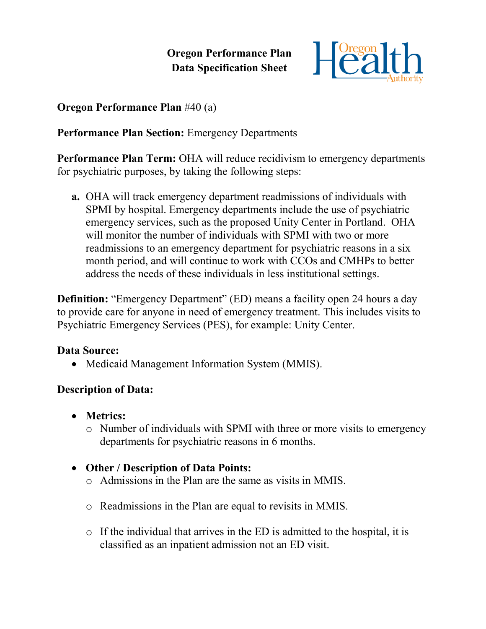# **Oregon Performance Plan Data Specification Sheet**



### **Oregon Performance Plan** #40 (a)

## **Performance Plan Section:** Emergency Departments

**Performance Plan Term:** OHA will reduce recidivism to emergency departments for psychiatric purposes, by taking the following steps:

**a.** OHA will track emergency department readmissions of individuals with SPMI by hospital. Emergency departments include the use of psychiatric emergency services, such as the proposed Unity Center in Portland. OHA will monitor the number of individuals with SPMI with two or more readmissions to an emergency department for psychiatric reasons in a six month period, and will continue to work with CCOs and CMHPs to better address the needs of these individuals in less institutional settings.

**Definition:** "Emergency Department" (ED) means a facility open 24 hours a day to provide care for anyone in need of emergency treatment. This includes visits to Psychiatric Emergency Services (PES), for example: Unity Center.

#### **Data Source:**

• Medicaid Management Information System (MMIS).

### **Description of Data:**

- **Metrics:**
	- o Number of individuals with SPMI with three or more visits to emergency departments for psychiatric reasons in 6 months.

### **Other / Description of Data Points:**

- o Admissions in the Plan are the same as visits in MMIS.
- o Readmissions in the Plan are equal to revisits in MMIS.
- o If the individual that arrives in the ED is admitted to the hospital, it is classified as an inpatient admission not an ED visit.